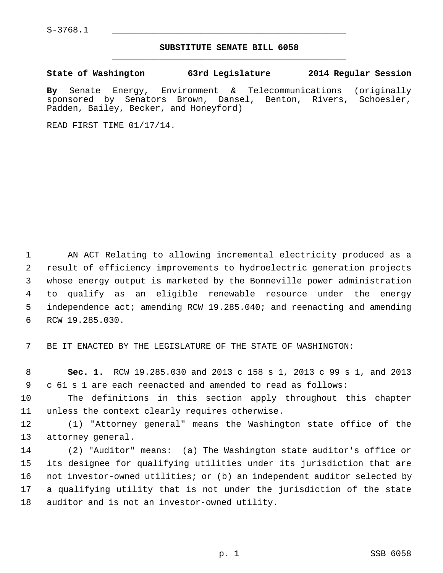$S-3768.1$ 

## **SUBSTITUTE SENATE BILL 6058** \_\_\_\_\_\_\_\_\_\_\_\_\_\_\_\_\_\_\_\_\_\_\_\_\_\_\_\_\_\_\_\_\_\_\_\_\_\_\_\_\_\_\_\_\_

**State of Washington 63rd Legislature 2014 Regular Session**

**By** Senate Energy, Environment & Telecommunications (originally sponsored by Senators Brown, Dansel, Benton, Rivers, Schoesler, Padden, Bailey, Becker, and Honeyford)

READ FIRST TIME 01/17/14.

 1 AN ACT Relating to allowing incremental electricity produced as a 2 result of efficiency improvements to hydroelectric generation projects 3 whose energy output is marketed by the Bonneville power administration 4 to qualify as an eligible renewable resource under the energy 5 independence act; amending RCW 19.285.040; and reenacting and amending 6 RCW 19.285.030.

7 BE IT ENACTED BY THE LEGISLATURE OF THE STATE OF WASHINGTON:

 8 **Sec. 1.** RCW 19.285.030 and 2013 c 158 s 1, 2013 c 99 s 1, and 2013 9 c 61 s 1 are each reenacted and amended to read as follows:

10 The definitions in this section apply throughout this chapter 11 unless the context clearly requires otherwise.

12 (1) "Attorney general" means the Washington state office of the 13 attorney general.

14 (2) "Auditor" means: (a) The Washington state auditor's office or 15 its designee for qualifying utilities under its jurisdiction that are 16 not investor-owned utilities; or (b) an independent auditor selected by 17 a qualifying utility that is not under the jurisdiction of the state 18 auditor and is not an investor-owned utility.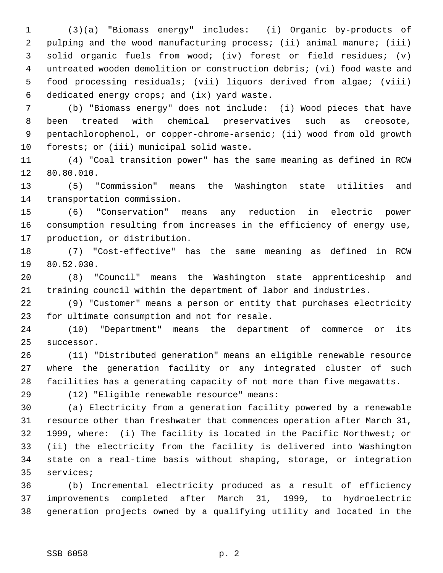1 (3)(a) "Biomass energy" includes: (i) Organic by-products of 2 pulping and the wood manufacturing process; (ii) animal manure; (iii) 3 solid organic fuels from wood; (iv) forest or field residues; (v) 4 untreated wooden demolition or construction debris; (vi) food waste and 5 food processing residuals; (vii) liquors derived from algae; (viii) 6 dedicated energy crops; and (ix) yard waste.

 7 (b) "Biomass energy" does not include: (i) Wood pieces that have 8 been treated with chemical preservatives such as creosote, 9 pentachlorophenol, or copper-chrome-arsenic; (ii) wood from old growth 10 forests; or (iii) municipal solid waste.

11 (4) "Coal transition power" has the same meaning as defined in RCW 12 80.80.010.

13 (5) "Commission" means the Washington state utilities and 14 transportation commission.

15 (6) "Conservation" means any reduction in electric power 16 consumption resulting from increases in the efficiency of energy use, 17 production, or distribution.

18 (7) "Cost-effective" has the same meaning as defined in RCW 19 80.52.030.

20 (8) "Council" means the Washington state apprenticeship and 21 training council within the department of labor and industries.

22 (9) "Customer" means a person or entity that purchases electricity 23 for ultimate consumption and not for resale.

24 (10) "Department" means the department of commerce or its 25 successor.

26 (11) "Distributed generation" means an eligible renewable resource 27 where the generation facility or any integrated cluster of such 28 facilities has a generating capacity of not more than five megawatts.

29 (12) "Eligible renewable resource" means:

30 (a) Electricity from a generation facility powered by a renewable 31 resource other than freshwater that commences operation after March 31, 32 1999, where: (i) The facility is located in the Pacific Northwest; or 33 (ii) the electricity from the facility is delivered into Washington 34 state on a real-time basis without shaping, storage, or integration 35 services;

36 (b) Incremental electricity produced as a result of efficiency 37 improvements completed after March 31, 1999, to hydroelectric 38 generation projects owned by a qualifying utility and located in the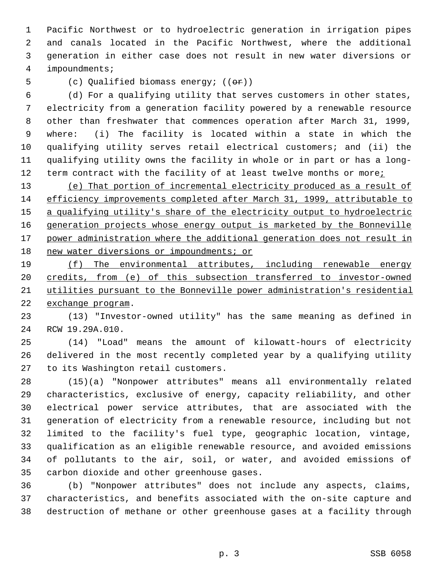1 Pacific Northwest or to hydroelectric generation in irrigation pipes 2 and canals located in the Pacific Northwest, where the additional 3 generation in either case does not result in new water diversions or 4 impoundments;

5 (c) Qualified biomass energy;  $((\theta \cdot \hat{r}))$ 

 6 (d) For a qualifying utility that serves customers in other states, 7 electricity from a generation facility powered by a renewable resource 8 other than freshwater that commences operation after March 31, 1999, 9 where: (i) The facility is located within a state in which the 10 qualifying utility serves retail electrical customers; and (ii) the 11 qualifying utility owns the facility in whole or in part or has a long-12 term contract with the facility of at least twelve months or more;

 (e) That portion of incremental electricity produced as a result of efficiency improvements completed after March 31, 1999, attributable to a qualifying utility's share of the electricity output to hydroelectric generation projects whose energy output is marketed by the Bonneville power administration where the additional generation does not result in 18 new water diversions or impoundments; or

 (f) The environmental attributes, including renewable energy credits, from (e) of this subsection transferred to investor-owned utilities pursuant to the Bonneville power administration's residential exchange program.

23 (13) "Investor-owned utility" has the same meaning as defined in 24 RCW 19.29A.010.

25 (14) "Load" means the amount of kilowatt-hours of electricity 26 delivered in the most recently completed year by a qualifying utility 27 to its Washington retail customers.

28 (15)(a) "Nonpower attributes" means all environmentally related 29 characteristics, exclusive of energy, capacity reliability, and other 30 electrical power service attributes, that are associated with the 31 generation of electricity from a renewable resource, including but not 32 limited to the facility's fuel type, geographic location, vintage, 33 qualification as an eligible renewable resource, and avoided emissions 34 of pollutants to the air, soil, or water, and avoided emissions of 35 carbon dioxide and other greenhouse gases.

36 (b) "Nonpower attributes" does not include any aspects, claims, 37 characteristics, and benefits associated with the on-site capture and 38 destruction of methane or other greenhouse gases at a facility through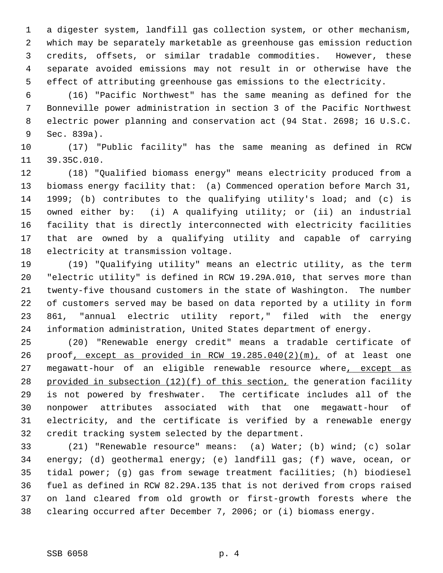1 a digester system, landfill gas collection system, or other mechanism, 2 which may be separately marketable as greenhouse gas emission reduction 3 credits, offsets, or similar tradable commodities. However, these 4 separate avoided emissions may not result in or otherwise have the 5 effect of attributing greenhouse gas emissions to the electricity.

 6 (16) "Pacific Northwest" has the same meaning as defined for the 7 Bonneville power administration in section 3 of the Pacific Northwest 8 electric power planning and conservation act (94 Stat. 2698; 16 U.S.C. 9 Sec. 839a).

10 (17) "Public facility" has the same meaning as defined in RCW 11 39.35C.010.

12 (18) "Qualified biomass energy" means electricity produced from a 13 biomass energy facility that: (a) Commenced operation before March 31, 14 1999; (b) contributes to the qualifying utility's load; and (c) is 15 owned either by: (i) A qualifying utility; or (ii) an industrial 16 facility that is directly interconnected with electricity facilities 17 that are owned by a qualifying utility and capable of carrying 18 electricity at transmission voltage.

19 (19) "Qualifying utility" means an electric utility, as the term 20 "electric utility" is defined in RCW 19.29A.010, that serves more than 21 twenty-five thousand customers in the state of Washington. The number 22 of customers served may be based on data reported by a utility in form 23 861, "annual electric utility report," filed with the energy 24 information administration, United States department of energy.

25 (20) "Renewable energy credit" means a tradable certificate of 26 proof, except as provided in RCW 19.285.040(2)(m), of at least one 27 megawatt-hour of an eligible renewable resource where, except as 28 provided in subsection (12)(f) of this section, the generation facility 29 is not powered by freshwater. The certificate includes all of the 30 nonpower attributes associated with that one megawatt-hour of 31 electricity, and the certificate is verified by a renewable energy 32 credit tracking system selected by the department.

33 (21) "Renewable resource" means: (a) Water; (b) wind; (c) solar 34 energy; (d) geothermal energy; (e) landfill gas; (f) wave, ocean, or 35 tidal power; (g) gas from sewage treatment facilities; (h) biodiesel 36 fuel as defined in RCW 82.29A.135 that is not derived from crops raised 37 on land cleared from old growth or first-growth forests where the 38 clearing occurred after December 7, 2006; or (i) biomass energy.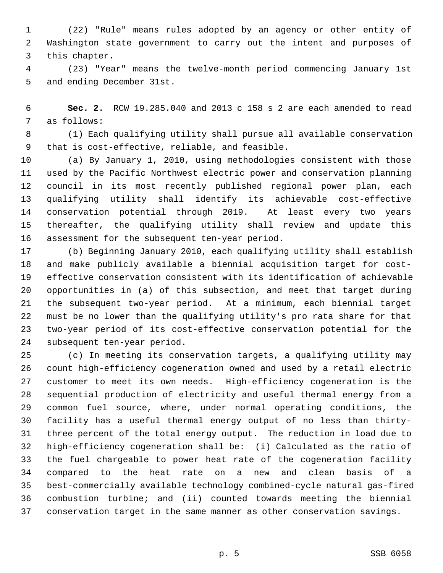1 (22) "Rule" means rules adopted by an agency or other entity of 2 Washington state government to carry out the intent and purposes of 3 this chapter.

 4 (23) "Year" means the twelve-month period commencing January 1st 5 and ending December 31st.

 6 **Sec. 2.** RCW 19.285.040 and 2013 c 158 s 2 are each amended to read 7 as follows:

 8 (1) Each qualifying utility shall pursue all available conservation 9 that is cost-effective, reliable, and feasible.

10 (a) By January 1, 2010, using methodologies consistent with those 11 used by the Pacific Northwest electric power and conservation planning 12 council in its most recently published regional power plan, each 13 qualifying utility shall identify its achievable cost-effective 14 conservation potential through 2019. At least every two years 15 thereafter, the qualifying utility shall review and update this 16 assessment for the subsequent ten-year period.

17 (b) Beginning January 2010, each qualifying utility shall establish 18 and make publicly available a biennial acquisition target for cost-19 effective conservation consistent with its identification of achievable 20 opportunities in (a) of this subsection, and meet that target during 21 the subsequent two-year period. At a minimum, each biennial target 22 must be no lower than the qualifying utility's pro rata share for that 23 two-year period of its cost-effective conservation potential for the 24 subsequent ten-year period.

25 (c) In meeting its conservation targets, a qualifying utility may 26 count high-efficiency cogeneration owned and used by a retail electric 27 customer to meet its own needs. High-efficiency cogeneration is the 28 sequential production of electricity and useful thermal energy from a 29 common fuel source, where, under normal operating conditions, the 30 facility has a useful thermal energy output of no less than thirty-31 three percent of the total energy output. The reduction in load due to 32 high-efficiency cogeneration shall be: (i) Calculated as the ratio of 33 the fuel chargeable to power heat rate of the cogeneration facility 34 compared to the heat rate on a new and clean basis of a 35 best-commercially available technology combined-cycle natural gas-fired 36 combustion turbine; and (ii) counted towards meeting the biennial 37 conservation target in the same manner as other conservation savings.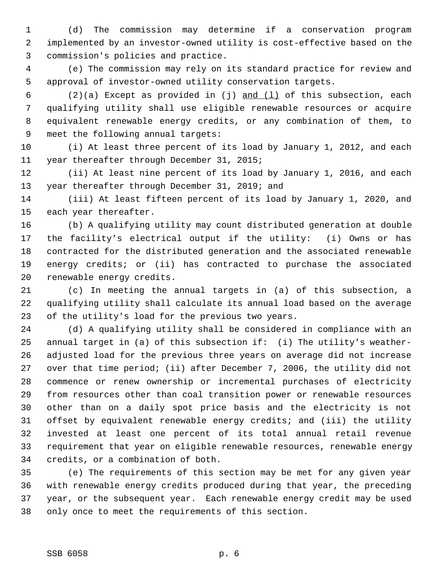1 (d) The commission may determine if a conservation program 2 implemented by an investor-owned utility is cost-effective based on the 3 commission's policies and practice.

 4 (e) The commission may rely on its standard practice for review and 5 approval of investor-owned utility conservation targets.

 6 (2)(a) Except as provided in (j) and (l) of this subsection, each 7 qualifying utility shall use eligible renewable resources or acquire 8 equivalent renewable energy credits, or any combination of them, to 9 meet the following annual targets:

10 (i) At least three percent of its load by January 1, 2012, and each 11 year thereafter through December 31, 2015;

12 (ii) At least nine percent of its load by January 1, 2016, and each 13 year thereafter through December 31, 2019; and

14 (iii) At least fifteen percent of its load by January 1, 2020, and 15 each year thereafter.

16 (b) A qualifying utility may count distributed generation at double 17 the facility's electrical output if the utility: (i) Owns or has 18 contracted for the distributed generation and the associated renewable 19 energy credits; or (ii) has contracted to purchase the associated 20 renewable energy credits.

21 (c) In meeting the annual targets in (a) of this subsection, a 22 qualifying utility shall calculate its annual load based on the average 23 of the utility's load for the previous two years.

24 (d) A qualifying utility shall be considered in compliance with an 25 annual target in (a) of this subsection if: (i) The utility's weather-26 adjusted load for the previous three years on average did not increase 27 over that time period; (ii) after December 7, 2006, the utility did not 28 commence or renew ownership or incremental purchases of electricity 29 from resources other than coal transition power or renewable resources 30 other than on a daily spot price basis and the electricity is not 31 offset by equivalent renewable energy credits; and (iii) the utility 32 invested at least one percent of its total annual retail revenue 33 requirement that year on eligible renewable resources, renewable energy 34 credits, or a combination of both.

35 (e) The requirements of this section may be met for any given year 36 with renewable energy credits produced during that year, the preceding 37 year, or the subsequent year. Each renewable energy credit may be used 38 only once to meet the requirements of this section.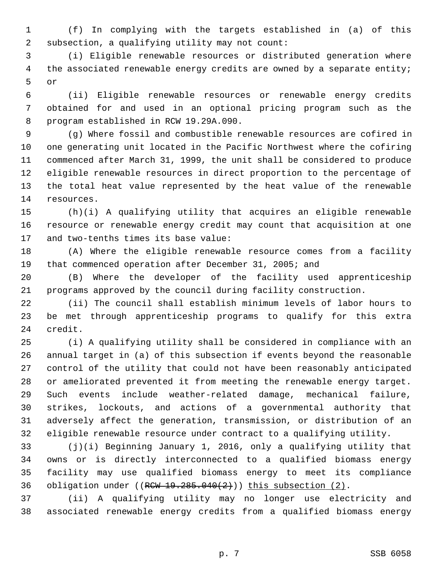1 (f) In complying with the targets established in (a) of this 2 subsection, a qualifying utility may not count:

 3 (i) Eligible renewable resources or distributed generation where 4 the associated renewable energy credits are owned by a separate entity; 5 or

 6 (ii) Eligible renewable resources or renewable energy credits 7 obtained for and used in an optional pricing program such as the 8 program established in RCW 19.29A.090.

 9 (g) Where fossil and combustible renewable resources are cofired in 10 one generating unit located in the Pacific Northwest where the cofiring 11 commenced after March 31, 1999, the unit shall be considered to produce 12 eligible renewable resources in direct proportion to the percentage of 13 the total heat value represented by the heat value of the renewable 14 resources.

15 (h)(i) A qualifying utility that acquires an eligible renewable 16 resource or renewable energy credit may count that acquisition at one 17 and two-tenths times its base value:

18 (A) Where the eligible renewable resource comes from a facility 19 that commenced operation after December 31, 2005; and

20 (B) Where the developer of the facility used apprenticeship 21 programs approved by the council during facility construction.

22 (ii) The council shall establish minimum levels of labor hours to 23 be met through apprenticeship programs to qualify for this extra 24 credit.

25 (i) A qualifying utility shall be considered in compliance with an 26 annual target in (a) of this subsection if events beyond the reasonable 27 control of the utility that could not have been reasonably anticipated 28 or ameliorated prevented it from meeting the renewable energy target. 29 Such events include weather-related damage, mechanical failure, 30 strikes, lockouts, and actions of a governmental authority that 31 adversely affect the generation, transmission, or distribution of an 32 eligible renewable resource under contract to a qualifying utility.

33 (j)(i) Beginning January 1, 2016, only a qualifying utility that 34 owns or is directly interconnected to a qualified biomass energy 35 facility may use qualified biomass energy to meet its compliance 36 obligation under  $((RCW 19.285.040(2)))$  this subsection  $(2)$ .

37 (ii) A qualifying utility may no longer use electricity and 38 associated renewable energy credits from a qualified biomass energy